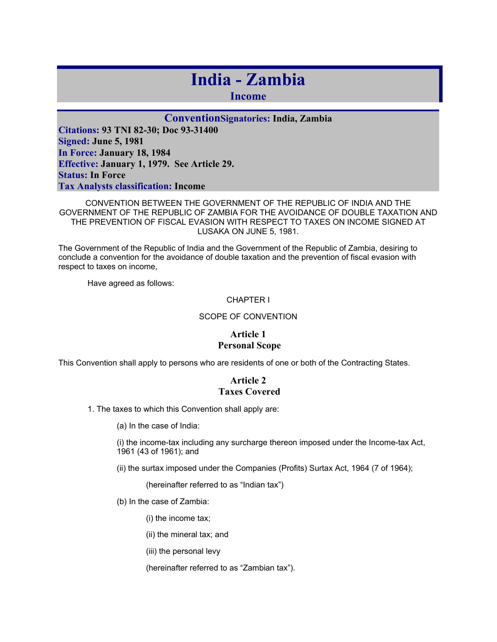# **India - Zambia**

**Income** 

**ConventionSignatories: India, Zambia Citations: 93 TNI 82-30; Doc 93-31400 Signed: June 5, 1981 In Force: January 18, 1984 Effective: January 1, 1979. See Article 29. Status: In Force Tax Analysts classification: Income** 

CONVENTION BETWEEN THE GOVERNMENT OF THE REPUBLIC OF INDIA AND THE GOVERNMENT OF THE REPUBLIC OF ZAMBIA FOR THE AVOIDANCE OF DOUBLE TAXATION AND THE PREVENTION OF FISCAL EVASION WITH RESPECT TO TAXES ON INCOME SIGNED AT LUSAKA ON JUNE 5, 1981.

The Government of the Republic of India and the Government of the Republic of Zambia, desiring to conclude a convention for the avoidance of double taxation and the prevention of fiscal evasion with respect to taxes on income,

Have agreed as follows:

#### CHAPTER I

#### SCOPE OF CONVENTION

## **Article 1 Personal Scope**

This Convention shall apply to persons who are residents of one or both of the Contracting States.

## **Article 2 Taxes Covered**

1. The taxes to which this Convention shall apply are:

(a) In the case of India:

(i) the income-tax including any surcharge thereon imposed under the Income-tax Act, 1961 (43 of 1961); and

(ii) the surtax imposed under the Companies (Profits) Surtax Act, 1964 (7 of 1964);

(hereinafter referred to as "Indian tax")

(b) In the case of Zambia:

(i) the income tax;

(ii) the mineral tax; and

(iii) the personal levy

(hereinafter referred to as "Zambian tax").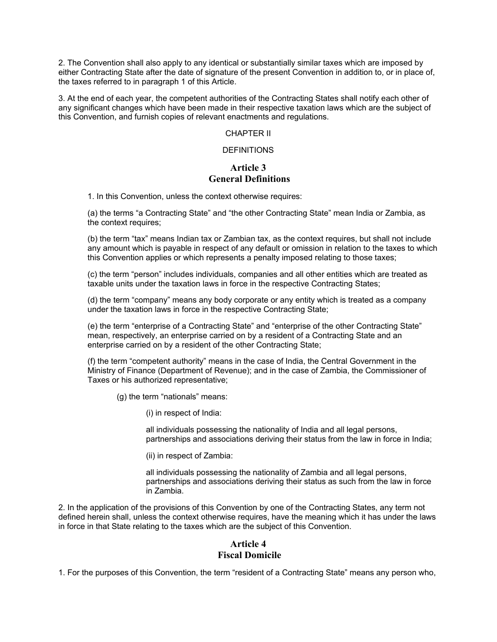2. The Convention shall also apply to any identical or substantially similar taxes which are imposed by either Contracting State after the date of signature of the present Convention in addition to, or in place of, the taxes referred to in paragraph 1 of this Article.

3. At the end of each year, the competent authorities of the Contracting States shall notify each other of any significant changes which have been made in their respective taxation laws which are the subject of this Convention, and furnish copies of relevant enactments and regulations.

#### CHAPTER II

#### **DEFINITIONS**

#### **Article 3 General Definitions**

1. In this Convention, unless the context otherwise requires:

(a) the terms "a Contracting State" and "the other Contracting State" mean India or Zambia, as the context requires;

(b) the term "tax" means Indian tax or Zambian tax, as the context requires, but shall not include any amount which is payable in respect of any default or omission in relation to the taxes to which this Convention applies or which represents a penalty imposed relating to those taxes;

(c) the term "person" includes individuals, companies and all other entities which are treated as taxable units under the taxation laws in force in the respective Contracting States;

(d) the term "company" means any body corporate or any entity which is treated as a company under the taxation laws in force in the respective Contracting State;

(e) the term "enterprise of a Contracting State" and "enterprise of the other Contracting State" mean, respectively, an enterprise carried on by a resident of a Contracting State and an enterprise carried on by a resident of the other Contracting State;

(f) the term "competent authority" means in the case of India, the Central Government in the Ministry of Finance (Department of Revenue); and in the case of Zambia, the Commissioner of Taxes or his authorized representative;

- (g) the term "nationals" means:
	- (i) in respect of India:

all individuals possessing the nationality of India and all legal persons, partnerships and associations deriving their status from the law in force in India;

(ii) in respect of Zambia:

all individuals possessing the nationality of Zambia and all legal persons, partnerships and associations deriving their status as such from the law in force in Zambia.

2. In the application of the provisions of this Convention by one of the Contracting States, any term not defined herein shall, unless the context otherwise requires, have the meaning which it has under the laws in force in that State relating to the taxes which are the subject of this Convention.

## **Article 4**

## **Fiscal Domicile**

1. For the purposes of this Convention, the term "resident of a Contracting State" means any person who,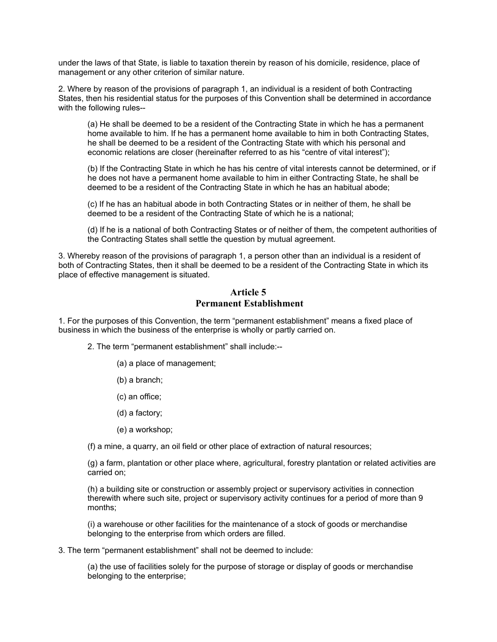under the laws of that State, is liable to taxation therein by reason of his domicile, residence, place of management or any other criterion of similar nature.

2. Where by reason of the provisions of paragraph 1, an individual is a resident of both Contracting States, then his residential status for the purposes of this Convention shall be determined in accordance with the following rules--

(a) He shall be deemed to be a resident of the Contracting State in which he has a permanent home available to him. If he has a permanent home available to him in both Contracting States, he shall be deemed to be a resident of the Contracting State with which his personal and economic relations are closer (hereinafter referred to as his "centre of vital interest");

(b) If the Contracting State in which he has his centre of vital interests cannot be determined, or if he does not have a permanent home available to him in either Contracting State, he shall be deemed to be a resident of the Contracting State in which he has an habitual abode;

(c) If he has an habitual abode in both Contracting States or in neither of them, he shall be deemed to be a resident of the Contracting State of which he is a national;

(d) If he is a national of both Contracting States or of neither of them, the competent authorities of the Contracting States shall settle the question by mutual agreement.

3. Whereby reason of the provisions of paragraph 1, a person other than an individual is a resident of both of Contracting States, then it shall be deemed to be a resident of the Contracting State in which its place of effective management is situated.

#### **Article 5 Permanent Establishment**

1. For the purposes of this Convention, the term "permanent establishment" means a fixed place of business in which the business of the enterprise is wholly or partly carried on.

2. The term "permanent establishment" shall include:--

(a) a place of management;

- (b) a branch;
- (c) an office;
- (d) a factory;
- (e) a workshop;

(f) a mine, a quarry, an oil field or other place of extraction of natural resources;

(g) a farm, plantation or other place where, agricultural, forestry plantation or related activities are carried on;

(h) a building site or construction or assembly project or supervisory activities in connection therewith where such site, project or supervisory activity continues for a period of more than 9 months;

(i) a warehouse or other facilities for the maintenance of a stock of goods or merchandise belonging to the enterprise from which orders are filled.

3. The term "permanent establishment" shall not be deemed to include:

(a) the use of facilities solely for the purpose of storage or display of goods or merchandise belonging to the enterprise;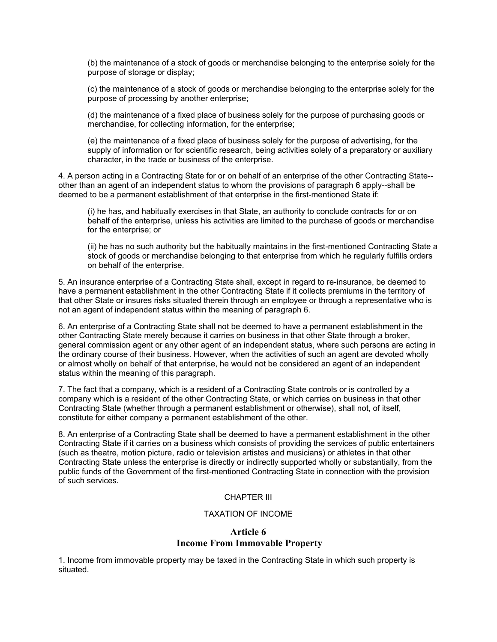(b) the maintenance of a stock of goods or merchandise belonging to the enterprise solely for the purpose of storage or display;

(c) the maintenance of a stock of goods or merchandise belonging to the enterprise solely for the purpose of processing by another enterprise;

(d) the maintenance of a fixed place of business solely for the purpose of purchasing goods or merchandise, for collecting information, for the enterprise;

(e) the maintenance of a fixed place of business solely for the purpose of advertising, for the supply of information or for scientific research, being activities solely of a preparatory or auxiliary character, in the trade or business of the enterprise.

4. A person acting in a Contracting State for or on behalf of an enterprise of the other Contracting State- other than an agent of an independent status to whom the provisions of paragraph 6 apply--shall be deemed to be a permanent establishment of that enterprise in the first-mentioned State if:

(i) he has, and habitually exercises in that State, an authority to conclude contracts for or on behalf of the enterprise, unless his activities are limited to the purchase of goods or merchandise for the enterprise; or

(ii) he has no such authority but the habitually maintains in the first-mentioned Contracting State a stock of goods or merchandise belonging to that enterprise from which he regularly fulfills orders on behalf of the enterprise.

5. An insurance enterprise of a Contracting State shall, except in regard to re-insurance, be deemed to have a permanent establishment in the other Contracting State if it collects premiums in the territory of that other State or insures risks situated therein through an employee or through a representative who is not an agent of independent status within the meaning of paragraph 6.

6. An enterprise of a Contracting State shall not be deemed to have a permanent establishment in the other Contracting State merely because it carries on business in that other State through a broker, general commission agent or any other agent of an independent status, where such persons are acting in the ordinary course of their business. However, when the activities of such an agent are devoted wholly or almost wholly on behalf of that enterprise, he would not be considered an agent of an independent status within the meaning of this paragraph.

7. The fact that a company, which is a resident of a Contracting State controls or is controlled by a company which is a resident of the other Contracting State, or which carries on business in that other Contracting State (whether through a permanent establishment or otherwise), shall not, of itself, constitute for either company a permanent establishment of the other.

8. An enterprise of a Contracting State shall be deemed to have a permanent establishment in the other Contracting State if it carries on a business which consists of providing the services of public entertainers (such as theatre, motion picture, radio or television artistes and musicians) or athletes in that other Contracting State unless the enterprise is directly or indirectly supported wholly or substantially, from the public funds of the Government of the first-mentioned Contracting State in connection with the provision of such services.

#### CHAPTER III

#### TAXATION OF INCOME

## **Article 6 Income From Immovable Property**

1. Income from immovable property may be taxed in the Contracting State in which such property is situated.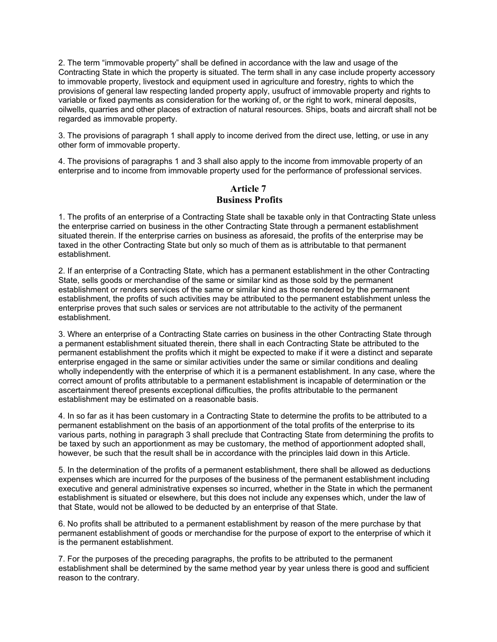2. The term "immovable property" shall be defined in accordance with the law and usage of the Contracting State in which the property is situated. The term shall in any case include property accessory to immovable property, livestock and equipment used in agriculture and forestry, rights to which the provisions of general law respecting landed property apply, usufruct of immovable property and rights to variable or fixed payments as consideration for the working of, or the right to work, mineral deposits, oilwells, quarries and other places of extraction of natural resources. Ships, boats and aircraft shall not be regarded as immovable property.

3. The provisions of paragraph 1 shall apply to income derived from the direct use, letting, or use in any other form of immovable property.

4. The provisions of paragraphs 1 and 3 shall also apply to the income from immovable property of an enterprise and to income from immovable property used for the performance of professional services.

## **Article 7 Business Profits**

1. The profits of an enterprise of a Contracting State shall be taxable only in that Contracting State unless the enterprise carried on business in the other Contracting State through a permanent establishment situated therein. If the enterprise carries on business as aforesaid, the profits of the enterprise may be taxed in the other Contracting State but only so much of them as is attributable to that permanent establishment.

2. If an enterprise of a Contracting State, which has a permanent establishment in the other Contracting State, sells goods or merchandise of the same or similar kind as those sold by the permanent establishment or renders services of the same or similar kind as those rendered by the permanent establishment, the profits of such activities may be attributed to the permanent establishment unless the enterprise proves that such sales or services are not attributable to the activity of the permanent establishment.

3. Where an enterprise of a Contracting State carries on business in the other Contracting State through a permanent establishment situated therein, there shall in each Contracting State be attributed to the permanent establishment the profits which it might be expected to make if it were a distinct and separate enterprise engaged in the same or similar activities under the same or similar conditions and dealing wholly independently with the enterprise of which it is a permanent establishment. In any case, where the correct amount of profits attributable to a permanent establishment is incapable of determination or the ascertainment thereof presents exceptional difficulties, the profits attributable to the permanent establishment may be estimated on a reasonable basis.

4. In so far as it has been customary in a Contracting State to determine the profits to be attributed to a permanent establishment on the basis of an apportionment of the total profits of the enterprise to its various parts, nothing in paragraph 3 shall preclude that Contracting State from determining the profits to be taxed by such an apportionment as may be customary, the method of apportionment adopted shall, however, be such that the result shall be in accordance with the principles laid down in this Article.

5. In the determination of the profits of a permanent establishment, there shall be allowed as deductions expenses which are incurred for the purposes of the business of the permanent establishment including executive and general administrative expenses so incurred, whether in the State in which the permanent establishment is situated or elsewhere, but this does not include any expenses which, under the law of that State, would not be allowed to be deducted by an enterprise of that State.

6. No profits shall be attributed to a permanent establishment by reason of the mere purchase by that permanent establishment of goods or merchandise for the purpose of export to the enterprise of which it is the permanent establishment.

7. For the purposes of the preceding paragraphs, the profits to be attributed to the permanent establishment shall be determined by the same method year by year unless there is good and sufficient reason to the contrary.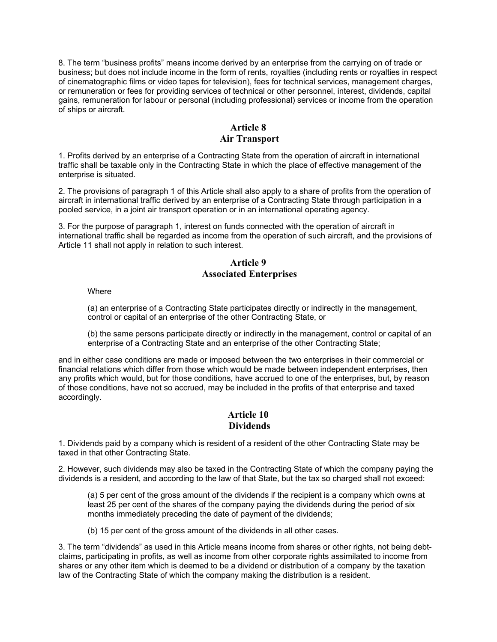8. The term "business profits" means income derived by an enterprise from the carrying on of trade or business; but does not include income in the form of rents, royalties (including rents or royalties in respect of cinematographic films or video tapes for television), fees for technical services, management charges, or remuneration or fees for providing services of technical or other personnel, interest, dividends, capital gains, remuneration for labour or personal (including professional) services or income from the operation of ships or aircraft.

## **Article 8 Air Transport**

1. Profits derived by an enterprise of a Contracting State from the operation of aircraft in international traffic shall be taxable only in the Contracting State in which the place of effective management of the enterprise is situated.

2. The provisions of paragraph 1 of this Article shall also apply to a share of profits from the operation of aircraft in international traffic derived by an enterprise of a Contracting State through participation in a pooled service, in a joint air transport operation or in an international operating agency.

3. For the purpose of paragraph 1, interest on funds connected with the operation of aircraft in international traffic shall be regarded as income from the operation of such aircraft, and the provisions of Article 11 shall not apply in relation to such interest.

## **Article 9 Associated Enterprises**

Where

(a) an enterprise of a Contracting State participates directly or indirectly in the management, control or capital of an enterprise of the other Contracting State, or

(b) the same persons participate directly or indirectly in the management, control or capital of an enterprise of a Contracting State and an enterprise of the other Contracting State;

and in either case conditions are made or imposed between the two enterprises in their commercial or financial relations which differ from those which would be made between independent enterprises, then any profits which would, but for those conditions, have accrued to one of the enterprises, but, by reason of those conditions, have not so accrued, may be included in the profits of that enterprise and taxed accordingly.

## **Article 10 Dividends**

1. Dividends paid by a company which is resident of a resident of the other Contracting State may be taxed in that other Contracting State.

2. However, such dividends may also be taxed in the Contracting State of which the company paying the dividends is a resident, and according to the law of that State, but the tax so charged shall not exceed:

(a) 5 per cent of the gross amount of the dividends if the recipient is a company which owns at least 25 per cent of the shares of the company paying the dividends during the period of six months immediately preceding the date of payment of the dividends;

(b) 15 per cent of the gross amount of the dividends in all other cases.

3. The term "dividends" as used in this Article means income from shares or other rights, not being debtclaims, participating in profits, as well as income from other corporate rights assimilated to income from shares or any other item which is deemed to be a dividend or distribution of a company by the taxation law of the Contracting State of which the company making the distribution is a resident.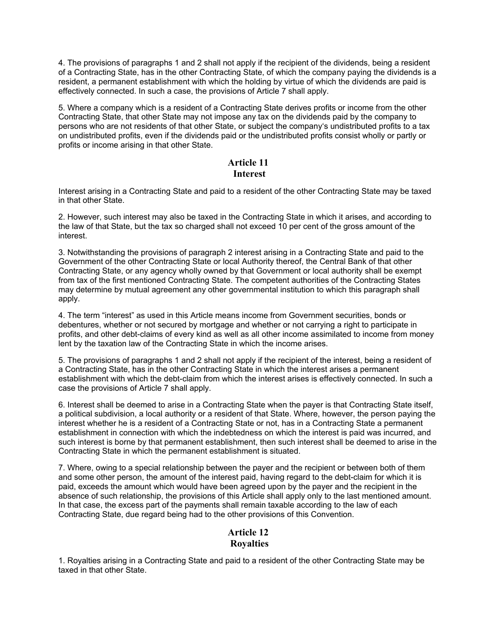4. The provisions of paragraphs 1 and 2 shall not apply if the recipient of the dividends, being a resident of a Contracting State, has in the other Contracting State, of which the company paying the dividends is a resident, a permanent establishment with which the holding by virtue of which the dividends are paid is effectively connected. In such a case, the provisions of Article 7 shall apply.

5. Where a company which is a resident of a Contracting State derives profits or income from the other Contracting State, that other State may not impose any tax on the dividends paid by the company to persons who are not residents of that other State, or subject the company's undistributed profits to a tax on undistributed profits, even if the dividends paid or the undistributed profits consist wholly or partly or profits or income arising in that other State.

## **Article 11 Interest**

Interest arising in a Contracting State and paid to a resident of the other Contracting State may be taxed in that other State.

2. However, such interest may also be taxed in the Contracting State in which it arises, and according to the law of that State, but the tax so charged shall not exceed 10 per cent of the gross amount of the interest.

3. Notwithstanding the provisions of paragraph 2 interest arising in a Contracting State and paid to the Government of the other Contracting State or local Authority thereof, the Central Bank of that other Contracting State, or any agency wholly owned by that Government or local authority shall be exempt from tax of the first mentioned Contracting State. The competent authorities of the Contracting States may determine by mutual agreement any other governmental institution to which this paragraph shall apply.

4. The term "interest" as used in this Article means income from Government securities, bonds or debentures, whether or not secured by mortgage and whether or not carrying a right to participate in profits, and other debt-claims of every kind as well as all other income assimilated to income from money lent by the taxation law of the Contracting State in which the income arises.

5. The provisions of paragraphs 1 and 2 shall not apply if the recipient of the interest, being a resident of a Contracting State, has in the other Contracting State in which the interest arises a permanent establishment with which the debt-claim from which the interest arises is effectively connected. In such a case the provisions of Article 7 shall apply.

6. Interest shall be deemed to arise in a Contracting State when the payer is that Contracting State itself, a political subdivision, a local authority or a resident of that State. Where, however, the person paying the interest whether he is a resident of a Contracting State or not, has in a Contracting State a permanent establishment in connection with which the indebtedness on which the interest is paid was incurred, and such interest is borne by that permanent establishment, then such interest shall be deemed to arise in the Contracting State in which the permanent establishment is situated.

7. Where, owing to a special relationship between the payer and the recipient or between both of them and some other person, the amount of the interest paid, having regard to the debt-claim for which it is paid, exceeds the amount which would have been agreed upon by the payer and the recipient in the absence of such relationship, the provisions of this Article shall apply only to the last mentioned amount. In that case, the excess part of the payments shall remain taxable according to the law of each Contracting State, due regard being had to the other provisions of this Convention.

## **Article 12 Royalties**

1. Royalties arising in a Contracting State and paid to a resident of the other Contracting State may be taxed in that other State.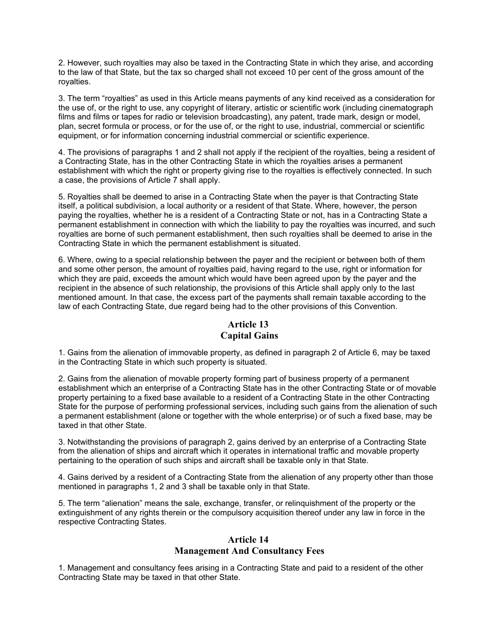2. However, such royalties may also be taxed in the Contracting State in which they arise, and according to the law of that State, but the tax so charged shall not exceed 10 per cent of the gross amount of the royalties.

3. The term "royalties" as used in this Article means payments of any kind received as a consideration for the use of, or the right to use, any copyright of literary, artistic or scientific work (including cinematograph films and films or tapes for radio or television broadcasting), any patent, trade mark, design or model, plan, secret formula or process, or for the use of, or the right to use, industrial, commercial or scientific equipment, or for information concerning industrial commercial or scientific experience.

4. The provisions of paragraphs 1 and 2 shall not apply if the recipient of the royalties, being a resident of a Contracting State, has in the other Contracting State in which the royalties arises a permanent establishment with which the right or property giving rise to the royalties is effectively connected. In such a case, the provisions of Article 7 shall apply.

5. Royalties shall be deemed to arise in a Contracting State when the payer is that Contracting State itself, a political subdivision, a local authority or a resident of that State. Where, however, the person paying the royalties, whether he is a resident of a Contracting State or not, has in a Contracting State a permanent establishment in connection with which the liability to pay the royalties was incurred, and such royalties are borne of such permanent establishment, then such royalties shall be deemed to arise in the Contracting State in which the permanent establishment is situated.

6. Where, owing to a special relationship between the payer and the recipient or between both of them and some other person, the amount of royalties paid, having regard to the use, right or information for which they are paid, exceeds the amount which would have been agreed upon by the payer and the recipient in the absence of such relationship, the provisions of this Article shall apply only to the last mentioned amount. In that case, the excess part of the payments shall remain taxable according to the law of each Contracting State, due regard being had to the other provisions of this Convention.

## **Article 13 Capital Gains**

1. Gains from the alienation of immovable property, as defined in paragraph 2 of Article 6, may be taxed in the Contracting State in which such property is situated.

2. Gains from the alienation of movable property forming part of business property of a permanent establishment which an enterprise of a Contracting State has in the other Contracting State or of movable property pertaining to a fixed base available to a resident of a Contracting State in the other Contracting State for the purpose of performing professional services, including such gains from the alienation of such a permanent establishment (alone or together with the whole enterprise) or of such a fixed base, may be taxed in that other State.

3. Notwithstanding the provisions of paragraph 2, gains derived by an enterprise of a Contracting State from the alienation of ships and aircraft which it operates in international traffic and movable property pertaining to the operation of such ships and aircraft shall be taxable only in that State.

4. Gains derived by a resident of a Contracting State from the alienation of any property other than those mentioned in paragraphs 1, 2 and 3 shall be taxable only in that State.

5. The term "alienation" means the sale, exchange, transfer, or relinquishment of the property or the extinguishment of any rights therein or the compulsory acquisition thereof under any law in force in the respective Contracting States.

#### **Article 14 Management And Consultancy Fees**

1. Management and consultancy fees arising in a Contracting State and paid to a resident of the other Contracting State may be taxed in that other State.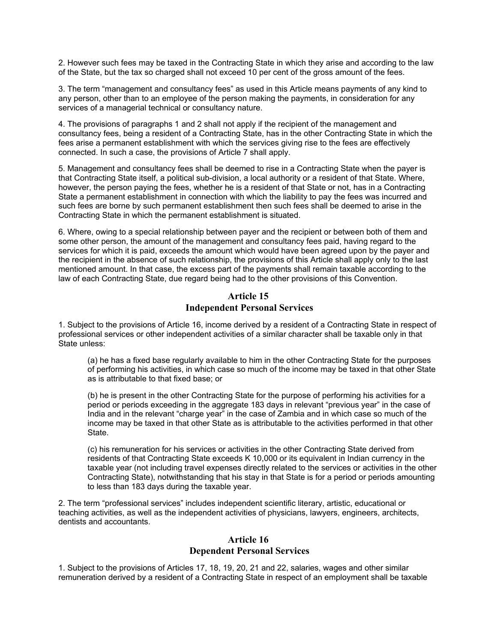2. However such fees may be taxed in the Contracting State in which they arise and according to the law of the State, but the tax so charged shall not exceed 10 per cent of the gross amount of the fees.

3. The term "management and consultancy fees" as used in this Article means payments of any kind to any person, other than to an employee of the person making the payments, in consideration for any services of a managerial technical or consultancy nature.

4. The provisions of paragraphs 1 and 2 shall not apply if the recipient of the management and consultancy fees, being a resident of a Contracting State, has in the other Contracting State in which the fees arise a permanent establishment with which the services giving rise to the fees are effectively connected. In such a case, the provisions of Article 7 shall apply.

5. Management and consultancy fees shall be deemed to rise in a Contracting State when the payer is that Contracting State itself, a political sub-division, a local authority or a resident of that State. Where, however, the person paying the fees, whether he is a resident of that State or not, has in a Contracting State a permanent establishment in connection with which the liability to pay the fees was incurred and such fees are borne by such permanent establishment then such fees shall be deemed to arise in the Contracting State in which the permanent establishment is situated.

6. Where, owing to a special relationship between payer and the recipient or between both of them and some other person, the amount of the management and consultancy fees paid, having regard to the services for which it is paid, exceeds the amount which would have been agreed upon by the payer and the recipient in the absence of such relationship, the provisions of this Article shall apply only to the last mentioned amount. In that case, the excess part of the payments shall remain taxable according to the law of each Contracting State, due regard being had to the other provisions of this Convention.

## **Article 15 Independent Personal Services**

1. Subject to the provisions of Article 16, income derived by a resident of a Contracting State in respect of professional services or other independent activities of a similar character shall be taxable only in that State unless:

(a) he has a fixed base regularly available to him in the other Contracting State for the purposes of performing his activities, in which case so much of the income may be taxed in that other State as is attributable to that fixed base; or

(b) he is present in the other Contracting State for the purpose of performing his activities for a period or periods exceeding in the aggregate 183 days in relevant "previous year" in the case of India and in the relevant "charge year" in the case of Zambia and in which case so much of the income may be taxed in that other State as is attributable to the activities performed in that other State.

(c) his remuneration for his services or activities in the other Contracting State derived from residents of that Contracting State exceeds K 10,000 or its equivalent in Indian currency in the taxable year (not including travel expenses directly related to the services or activities in the other Contracting State), notwithstanding that his stay in that State is for a period or periods amounting to less than 183 days during the taxable year.

2. The term "professional services" includes independent scientific literary, artistic, educational or teaching activities, as well as the independent activities of physicians, lawyers, engineers, architects, dentists and accountants.

#### **Article 16 Dependent Personal Services**

1. Subject to the provisions of Articles 17, 18, 19, 20, 21 and 22, salaries, wages and other similar remuneration derived by a resident of a Contracting State in respect of an employment shall be taxable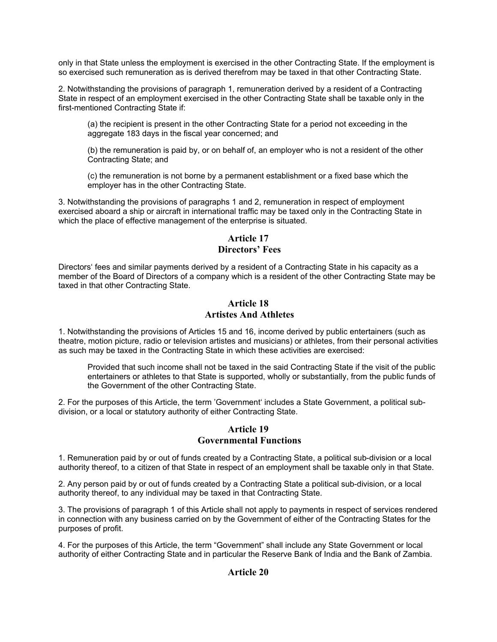only in that State unless the employment is exercised in the other Contracting State. If the employment is so exercised such remuneration as is derived therefrom may be taxed in that other Contracting State.

2. Notwithstanding the provisions of paragraph 1, remuneration derived by a resident of a Contracting State in respect of an employment exercised in the other Contracting State shall be taxable only in the first-mentioned Contracting State if:

(a) the recipient is present in the other Contracting State for a period not exceeding in the aggregate 183 days in the fiscal year concerned; and

(b) the remuneration is paid by, or on behalf of, an employer who is not a resident of the other Contracting State; and

(c) the remuneration is not borne by a permanent establishment or a fixed base which the employer has in the other Contracting State.

3. Notwithstanding the provisions of paragraphs 1 and 2, remuneration in respect of employment exercised aboard a ship or aircraft in international traffic may be taxed only in the Contracting State in which the place of effective management of the enterprise is situated.

## **Article 17 Directors' Fees**

Directors' fees and similar payments derived by a resident of a Contracting State in his capacity as a member of the Board of Directors of a company which is a resident of the other Contracting State may be taxed in that other Contracting State.

## **Article 18 Artistes And Athletes**

1. Notwithstanding the provisions of Articles 15 and 16, income derived by public entertainers (such as theatre, motion picture, radio or television artistes and musicians) or athletes, from their personal activities as such may be taxed in the Contracting State in which these activities are exercised:

Provided that such income shall not be taxed in the said Contracting State if the visit of the public entertainers or athletes to that State is supported, wholly or substantially, from the public funds of the Government of the other Contracting State.

2. For the purposes of this Article, the term 'Government' includes a State Government, a political subdivision, or a local or statutory authority of either Contracting State.

## **Article 19 Governmental Functions**

1. Remuneration paid by or out of funds created by a Contracting State, a political sub-division or a local authority thereof, to a citizen of that State in respect of an employment shall be taxable only in that State.

2. Any person paid by or out of funds created by a Contracting State a political sub-division, or a local authority thereof, to any individual may be taxed in that Contracting State.

3. The provisions of paragraph 1 of this Article shall not apply to payments in respect of services rendered in connection with any business carried on by the Government of either of the Contracting States for the purposes of profit.

4. For the purposes of this Article, the term "Government" shall include any State Government or local authority of either Contracting State and in particular the Reserve Bank of India and the Bank of Zambia.

#### **Article 20**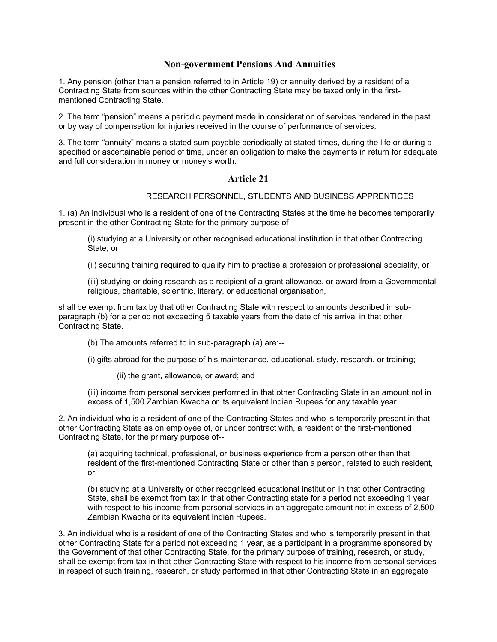#### **Non-government Pensions And Annuities**

1. Any pension (other than a pension referred to in Article 19) or annuity derived by a resident of a Contracting State from sources within the other Contracting State may be taxed only in the firstmentioned Contracting State.

2. The term "pension" means a periodic payment made in consideration of services rendered in the past or by way of compensation for injuries received in the course of performance of services.

3. The term "annuity" means a stated sum payable periodically at stated times, during the life or during a specified or ascertainable period of time, under an obligation to make the payments in return for adequate and full consideration in money or money's worth.

#### **Article 21**

#### RESEARCH PERSONNEL, STUDENTS AND BUSINESS APPRENTICES

1. (a) An individual who is a resident of one of the Contracting States at the time he becomes temporarily present in the other Contracting State for the primary purpose of--

(i) studying at a University or other recognised educational institution in that other Contracting State, or

(ii) securing training required to qualify him to practise a profession or professional speciality, or

(iii) studying or doing research as a recipient of a grant allowance, or award from a Governmental religious, charitable, scientific, literary, or educational organisation,

shall be exempt from tax by that other Contracting State with respect to amounts described in subparagraph (b) for a period not exceeding 5 taxable years from the date of his arrival in that other Contracting State.

(b) The amounts referred to in sub-paragraph (a) are:--

(i) gifts abroad for the purpose of his maintenance, educational, study, research, or training;

(ii) the grant, allowance, or award; and

(iii) income from personal services performed in that other Contracting State in an amount not in excess of 1,500 Zambian Kwacha or its equivalent Indian Rupees for any taxable year.

2. An individual who is a resident of one of the Contracting States and who is temporarily present in that other Contracting State as on employee of, or under contract with, a resident of the first-mentioned Contracting State, for the primary purpose of--

(a) acquiring technical, professional, or business experience from a person other than that resident of the first-mentioned Contracting State or other than a person, related to such resident, or

(b) studying at a University or other recognised educational institution in that other Contracting State, shall be exempt from tax in that other Contracting state for a period not exceeding 1 year with respect to his income from personal services in an aggregate amount not in excess of 2,500 Zambian Kwacha or its equivalent Indian Rupees.

3. An individual who is a resident of one of the Contracting States and who is temporarily present in that other Contracting State for a period not exceeding 1 year, as a participant in a programme sponsored by the Government of that other Contracting State, for the primary purpose of training, research, or study, shall be exempt from tax in that other Contracting State with respect to his income from personal services in respect of such training, research, or study performed in that other Contracting State in an aggregate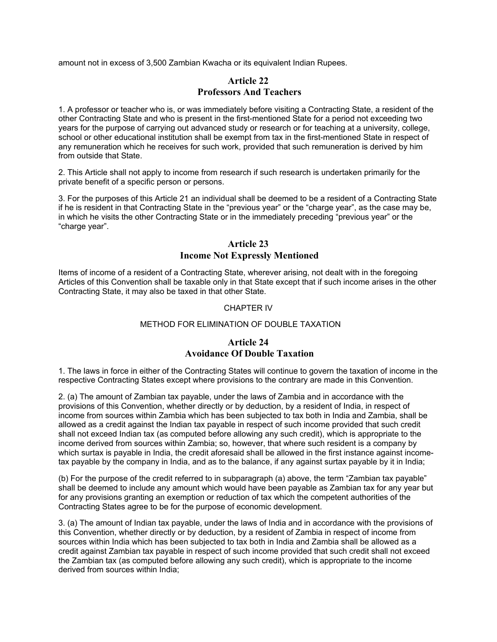amount not in excess of 3,500 Zambian Kwacha or its equivalent Indian Rupees.

## **Article 22 Professors And Teachers**

1. A professor or teacher who is, or was immediately before visiting a Contracting State, a resident of the other Contracting State and who is present in the first-mentioned State for a period not exceeding two years for the purpose of carrying out advanced study or research or for teaching at a university, college, school or other educational institution shall be exempt from tax in the first-mentioned State in respect of any remuneration which he receives for such work, provided that such remuneration is derived by him from outside that State.

2. This Article shall not apply to income from research if such research is undertaken primarily for the private benefit of a specific person or persons.

3. For the purposes of this Article 21 an individual shall be deemed to be a resident of a Contracting State if he is resident in that Contracting State in the "previous year" or the "charge year", as the case may be, in which he visits the other Contracting State or in the immediately preceding "previous year" or the "charge year".

#### **Article 23 Income Not Expressly Mentioned**

Items of income of a resident of a Contracting State, wherever arising, not dealt with in the foregoing Articles of this Convention shall be taxable only in that State except that if such income arises in the other Contracting State, it may also be taxed in that other State.

#### CHAPTER IV

#### METHOD FOR ELIMINATION OF DOUBLE TAXATION

## **Article 24 Avoidance Of Double Taxation**

1. The laws in force in either of the Contracting States will continue to govern the taxation of income in the respective Contracting States except where provisions to the contrary are made in this Convention.

2. (a) The amount of Zambian tax payable, under the laws of Zambia and in accordance with the provisions of this Convention, whether directly or by deduction, by a resident of India, in respect of income from sources within Zambia which has been subjected to tax both in India and Zambia, shall be allowed as a credit against the Indian tax payable in respect of such income provided that such credit shall not exceed Indian tax (as computed before allowing any such credit), which is appropriate to the income derived from sources within Zambia; so, however, that where such resident is a company by which surtax is payable in India, the credit aforesaid shall be allowed in the first instance against incometax payable by the company in India, and as to the balance, if any against surtax payable by it in India;

(b) For the purpose of the credit referred to in subparagraph (a) above, the term "Zambian tax payable" shall be deemed to include any amount which would have been payable as Zambian tax for any year but for any provisions granting an exemption or reduction of tax which the competent authorities of the Contracting States agree to be for the purpose of economic development.

3. (a) The amount of Indian tax payable, under the laws of India and in accordance with the provisions of this Convention, whether directly or by deduction, by a resident of Zambia in respect of income from sources within India which has been subjected to tax both in India and Zambia shall be allowed as a credit against Zambian tax payable in respect of such income provided that such credit shall not exceed the Zambian tax (as computed before allowing any such credit), which is appropriate to the income derived from sources within India;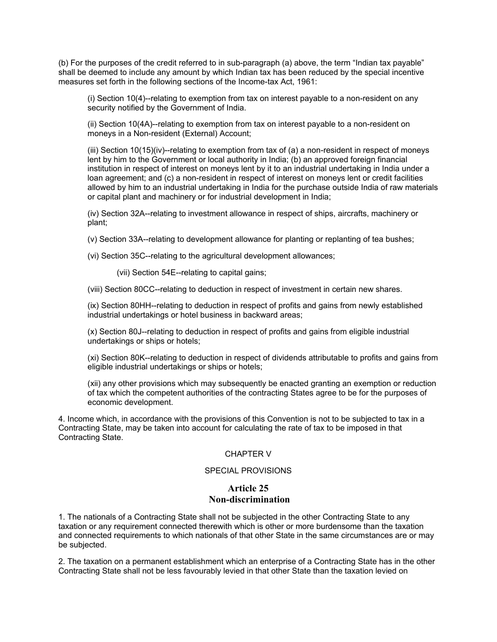(b) For the purposes of the credit referred to in sub-paragraph (a) above, the term "Indian tax payable" shall be deemed to include any amount by which Indian tax has been reduced by the special incentive measures set forth in the following sections of the Income-tax Act, 1961:

(i) Section 10(4)--relating to exemption from tax on interest payable to a non-resident on any security notified by the Government of India.

(ii) Section 10(4A)--relating to exemption from tax on interest payable to a non-resident on moneys in a Non-resident (External) Account;

(iii) Section 10(15)(iv)--relating to exemption from tax of (a) a non-resident in respect of moneys lent by him to the Government or local authority in India; (b) an approved foreign financial institution in respect of interest on moneys lent by it to an industrial undertaking in India under a loan agreement; and (c) a non-resident in respect of interest on moneys lent or credit facilities allowed by him to an industrial undertaking in India for the purchase outside India of raw materials or capital plant and machinery or for industrial development in India;

(iv) Section 32A--relating to investment allowance in respect of ships, aircrafts, machinery or plant;

(v) Section 33A--relating to development allowance for planting or replanting of tea bushes;

(vi) Section 35C--relating to the agricultural development allowances;

(vii) Section 54E--relating to capital gains;

(viii) Section 80CC--relating to deduction in respect of investment in certain new shares.

(ix) Section 80HH--relating to deduction in respect of profits and gains from newly established industrial undertakings or hotel business in backward areas;

(x) Section 80J--relating to deduction in respect of profits and gains from eligible industrial undertakings or ships or hotels;

(xi) Section 80K--relating to deduction in respect of dividends attributable to profits and gains from eligible industrial undertakings or ships or hotels;

(xii) any other provisions which may subsequently be enacted granting an exemption or reduction of tax which the competent authorities of the contracting States agree to be for the purposes of economic development.

4. Income which, in accordance with the provisions of this Convention is not to be subjected to tax in a Contracting State, may be taken into account for calculating the rate of tax to be imposed in that Contracting State.

#### CHAPTER V

#### SPECIAL PROVISIONS

#### **Article 25 Non-discrimination**

1. The nationals of a Contracting State shall not be subjected in the other Contracting State to any taxation or any requirement connected therewith which is other or more burdensome than the taxation and connected requirements to which nationals of that other State in the same circumstances are or may be subjected.

2. The taxation on a permanent establishment which an enterprise of a Contracting State has in the other Contracting State shall not be less favourably levied in that other State than the taxation levied on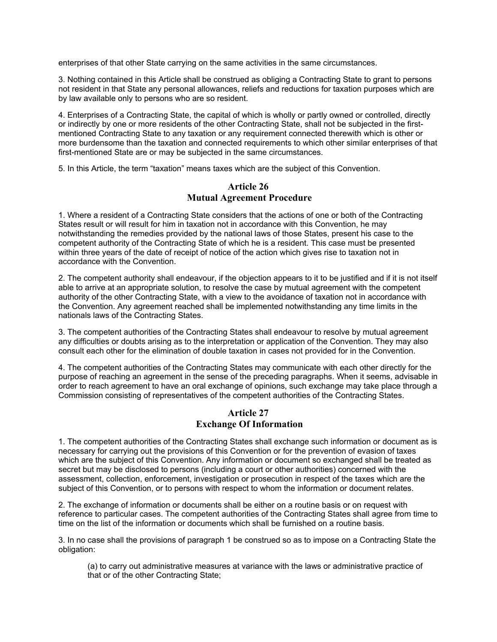enterprises of that other State carrying on the same activities in the same circumstances.

3. Nothing contained in this Article shall be construed as obliging a Contracting State to grant to persons not resident in that State any personal allowances, reliefs and reductions for taxation purposes which are by law available only to persons who are so resident.

4. Enterprises of a Contracting State, the capital of which is wholly or partly owned or controlled, directly or indirectly by one or more residents of the other Contracting State, shall not be subjected in the firstmentioned Contracting State to any taxation or any requirement connected therewith which is other or more burdensome than the taxation and connected requirements to which other similar enterprises of that first-mentioned State are or may be subjected in the same circumstances.

5. In this Article, the term "taxation" means taxes which are the subject of this Convention.

## **Article 26 Mutual Agreement Procedure**

1. Where a resident of a Contracting State considers that the actions of one or both of the Contracting States result or will result for him in taxation not in accordance with this Convention, he may notwithstanding the remedies provided by the national laws of those States, present his case to the competent authority of the Contracting State of which he is a resident. This case must be presented within three years of the date of receipt of notice of the action which gives rise to taxation not in accordance with the Convention.

2. The competent authority shall endeavour, if the objection appears to it to be justified and if it is not itself able to arrive at an appropriate solution, to resolve the case by mutual agreement with the competent authority of the other Contracting State, with a view to the avoidance of taxation not in accordance with the Convention. Any agreement reached shall be implemented notwithstanding any time limits in the nationals laws of the Contracting States.

3. The competent authorities of the Contracting States shall endeavour to resolve by mutual agreement any difficulties or doubts arising as to the interpretation or application of the Convention. They may also consult each other for the elimination of double taxation in cases not provided for in the Convention.

4. The competent authorities of the Contracting States may communicate with each other directly for the purpose of reaching an agreement in the sense of the preceding paragraphs. When it seems, advisable in order to reach agreement to have an oral exchange of opinions, such exchange may take place through a Commission consisting of representatives of the competent authorities of the Contracting States.

## **Article 27 Exchange Of Information**

1. The competent authorities of the Contracting States shall exchange such information or document as is necessary for carrying out the provisions of this Convention or for the prevention of evasion of taxes which are the subject of this Convention. Any information or document so exchanged shall be treated as secret but may be disclosed to persons (including a court or other authorities) concerned with the assessment, collection, enforcement, investigation or prosecution in respect of the taxes which are the subject of this Convention, or to persons with respect to whom the information or document relates.

2. The exchange of information or documents shall be either on a routine basis or on request with reference to particular cases. The competent authorities of the Contracting States shall agree from time to time on the list of the information or documents which shall be furnished on a routine basis.

3. In no case shall the provisions of paragraph 1 be construed so as to impose on a Contracting State the obligation:

(a) to carry out administrative measures at variance with the laws or administrative practice of that or of the other Contracting State;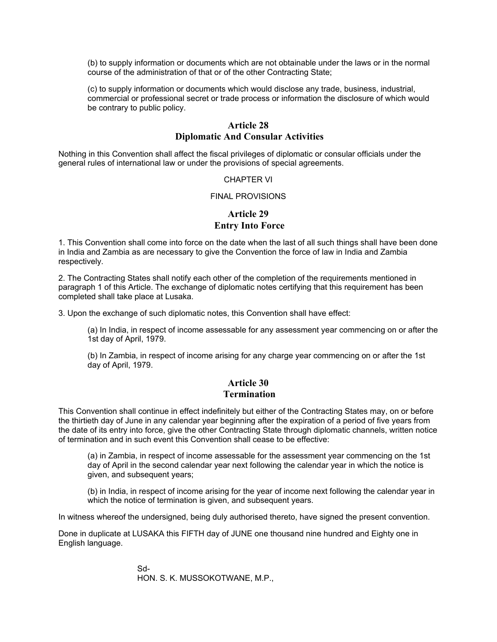(b) to supply information or documents which are not obtainable under the laws or in the normal course of the administration of that or of the other Contracting State;

(c) to supply information or documents which would disclose any trade, business, industrial, commercial or professional secret or trade process or information the disclosure of which would be contrary to public policy.

## **Article 28 Diplomatic And Consular Activities**

Nothing in this Convention shall affect the fiscal privileges of diplomatic or consular officials under the general rules of international law or under the provisions of special agreements.

#### CHAPTER VI

#### FINAL PROVISIONS

## **Article 29 Entry Into Force**

1. This Convention shall come into force on the date when the last of all such things shall have been done in India and Zambia as are necessary to give the Convention the force of law in India and Zambia respectively.

2. The Contracting States shall notify each other of the completion of the requirements mentioned in paragraph 1 of this Article. The exchange of diplomatic notes certifying that this requirement has been completed shall take place at Lusaka.

3. Upon the exchange of such diplomatic notes, this Convention shall have effect:

(a) In India, in respect of income assessable for any assessment year commencing on or after the 1st day of April, 1979.

(b) In Zambia, in respect of income arising for any charge year commencing on or after the 1st day of April, 1979.

## **Article 30 Termination**

This Convention shall continue in effect indefinitely but either of the Contracting States may, on or before the thirtieth day of June in any calendar year beginning after the expiration of a period of five years from the date of its entry into force, give the other Contracting State through diplomatic channels, written notice of termination and in such event this Convention shall cease to be effective:

(a) in Zambia, in respect of income assessable for the assessment year commencing on the 1st day of April in the second calendar year next following the calendar year in which the notice is given, and subsequent years;

(b) in India, in respect of income arising for the year of income next following the calendar year in which the notice of termination is given, and subsequent years.

In witness whereof the undersigned, being duly authorised thereto, have signed the present convention.

Done in duplicate at LUSAKA this FIFTH day of JUNE one thousand nine hundred and Eighty one in English language.

> Sd- HON. S. K. MUSSOKOTWANE, M.P.,